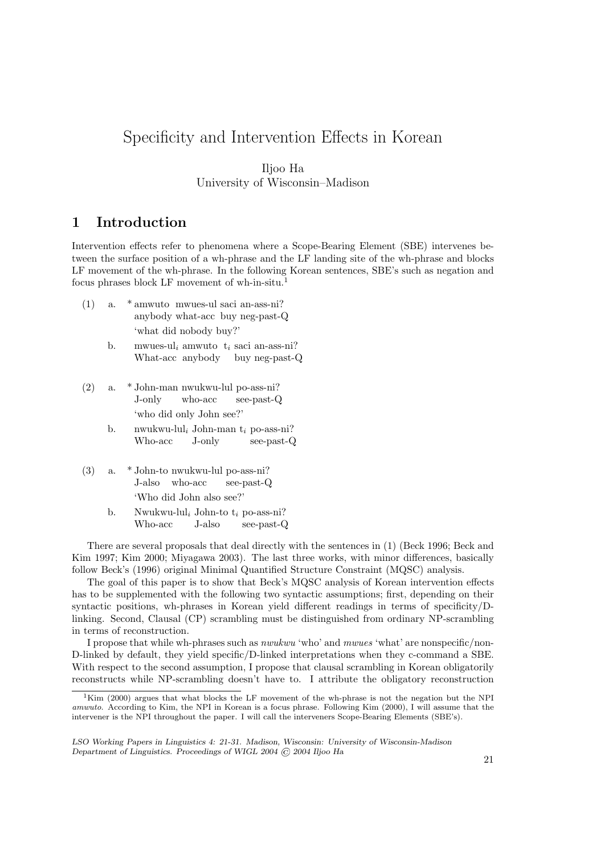# Specificity and Intervention Effects in Korean

### Iljoo Ha University of Wisconsin–Madison

# 1 Introduction

Intervention effects refer to phenomena where a Scope-Bearing Element (SBE) intervenes between the surface position of a wh-phrase and the LF landing site of the wh-phrase and blocks LF movement of the wh-phrase. In the following Korean sentences, SBE's such as negation and focus phrases block LF movement of wh-in-situ.<sup>1</sup>

- (1) a. \* amwuto mwues-ul saci an-ass-ni? anybody what-acc buy neg-past-Q 'what did nobody buy?'
	- b. mwues-ul<sub>i</sub> amwuto  $t_i$  saci an-ass-ni? What-acc anybody buy neg-past-Q
- (2) a. \* John-man nwukwu-lul po-ass-ni? J-only who-acc see-past-Q 'who did only John see?'
	- b. nwukwu-lul<sub>i</sub> John-man  $t_i$  po-ass-ni? Who-acc J-only see-past-Q
- (3) a. \* John-to nwukwu-lul po-ass-ni? J-also who-acc see-past-Q 'Who did John also see?'
	- b. Nwukwu-lul<sub>i</sub> John-to  $t_i$  po-ass-ni? Who-acc J-also see-past-Q

There are several proposals that deal directly with the sentences in (1) (Beck 1996; Beck and Kim 1997; Kim 2000; Miyagawa 2003). The last three works, with minor differences, basically follow Beck's (1996) original Minimal Quantified Structure Constraint (MQSC) analysis.

The goal of this paper is to show that Beck's MQSC analysis of Korean intervention effects has to be supplemented with the following two syntactic assumptions; first, depending on their syntactic positions, wh-phrases in Korean yield different readings in terms of specificity/Dlinking. Second, Clausal (CP) scrambling must be distinguished from ordinary NP-scrambling in terms of reconstruction.

I propose that while wh-phrases such as nwukwu 'who' and mwues 'what' are nonspecific/non-D-linked by default, they yield specific/D-linked interpretations when they c-command a SBE. With respect to the second assumption, I propose that clausal scrambling in Korean obligatorily reconstructs while NP-scrambling doesn't have to. I attribute the obligatory reconstruction

 $1$ Kim (2000) argues that what blocks the LF movement of the wh-phrase is not the negation but the NPI amwuto. According to Kim, the NPI in Korean is a focus phrase. Following Kim (2000), I will assume that the intervener is the NPI throughout the paper. I will call the interveners Scope-Bearing Elements (SBE's).

LSO Working Papers in Linguistics 4: 21-31. Madison, Wisconsin: University of Wisconsin-Madison Department of Linguistics. Proceedings of WIGL 2004 © 2004 Iljoo Ha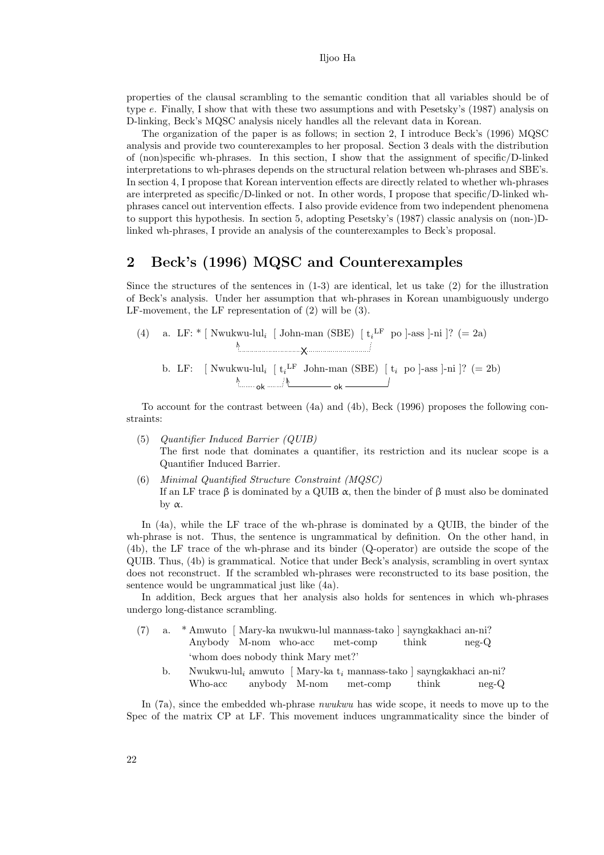properties of the clausal scrambling to the semantic condition that all variables should be of type e. Finally, I show that with these two assumptions and with Pesetsky's (1987) analysis on D-linking, Beck's MQSC analysis nicely handles all the relevant data in Korean.

The organization of the paper is as follows; in section 2, I introduce Beck's (1996) MQSC analysis and provide two counterexamples to her proposal. Section 3 deals with the distribution of (non)specific wh-phrases. In this section, I show that the assignment of specific/D-linked interpretations to wh-phrases depends on the structural relation between wh-phrases and SBE's. In section 4, I propose that Korean intervention effects are directly related to whether wh-phrases are interpreted as specific/D-linked or not. In other words, I propose that specific/D-linked whphrases cancel out intervention effects. I also provide evidence from two independent phenomena to support this hypothesis. In section 5, adopting Pesetsky's (1987) classic analysis on (non-)Dlinked wh-phrases, I provide an analysis of the counterexamples to Beck's proposal.

### 2 Beck's (1996) MQSC and Counterexamples

Since the structures of the sentences in  $(1-3)$  are identical, let us take  $(2)$  for the illustration of Beck's analysis. Under her assumption that wh-phrases in Korean unambiguously undergo LF-movement, the LF representation of (2) will be (3).

(4) a. LF: 
$$
[
$$
 Nwukwu-lul<sub>i</sub> [ John-man (SBE)  $[t_i^L$  po ]-ass ]-ni ]? (= 2a)  $\lambda$  [  $\lambda$  [  $t_i$  [  $t_i$  [  $t_i$  [  $t_i$  [  $t_i$  [  $t_i$  [  $t_i$  [  $t_i$  [  $t_i$  [  $t_i$  [  $t_i$  [  $t_i$  [  $t_i$  [  $t_i$  [  $t_i$  [  $t_i$  [  $t_i$  [  $t_i$  [  $t_i$  [  $t_i$  [  $t_i$  [  $t_i$  [  $t_i$  [  $t_i$  [  $t_i$  [  $t_i$  [  $t_i$  [  $t_i$  [  $t_i$  [  $t_i$  [  $t_i$  [  $t_i$  [  $t_i$  [  $t_i$  [  $t_i$  [  $t_i$  [  $t_i$  [  $t_i$  [  $t_i$  [  $t_i$  [  $t_i$  [  $t_i$  [  $t_i$  [  $t_i$  [  $t_i$  [  $t_i$  [  $t_i$  [  $t_i$  [  $t_i$  [  $t_i$  [  $t_i$  [  $t_i$  [  $t_i$  [  $t_i$  [  $t_i$  [  $t_i$  [  $t$ 

To account for the contrast between (4a) and (4b), Beck (1996) proposes the following constraints:

- (5) Quantifier Induced Barrier (QUIB) The first node that dominates a quantifier, its restriction and its nuclear scope is a Quantifier Induced Barrier.
- (6) Minimal Quantified Structure Constraint (MQSC) If an LF trace  $\beta$  is dominated by a QUIB  $\alpha$ , then the binder of  $\beta$  must also be dominated by  $α$ .

In (4a), while the LF trace of the wh-phrase is dominated by a QUIB, the binder of the wh-phrase is not. Thus, the sentence is ungrammatical by definition. On the other hand, in (4b), the LF trace of the wh-phrase and its binder (Q-operator) are outside the scope of the QUIB. Thus, (4b) is grammatical. Notice that under Beck's analysis, scrambling in overt syntax does not reconstruct. If the scrambled wh-phrases were reconstructed to its base position, the sentence would be ungrammatical just like (4a).

In addition, Beck argues that her analysis also holds for sentences in which wh-phrases undergo long-distance scrambling.

- (7) a. \* Amwuto [ Mary-ka nwukwu-lul mannass-tako ] sayngkakhaci an-ni? Anybody M-nom who-acc met-comp think neg-Q 'whom does nobody think Mary met?'
	- b. Nwukwu-lul<sub>i</sub> amwuto [Mary-ka  $t_i$  mannass-tako] sayngkakhaci an-ni? Who-acc anybody M-nom met-comp think neg-Q

In (7a), since the embedded wh-phrase nwukwu has wide scope, it needs to move up to the Spec of the matrix CP at LF. This movement induces ungrammaticality since the binder of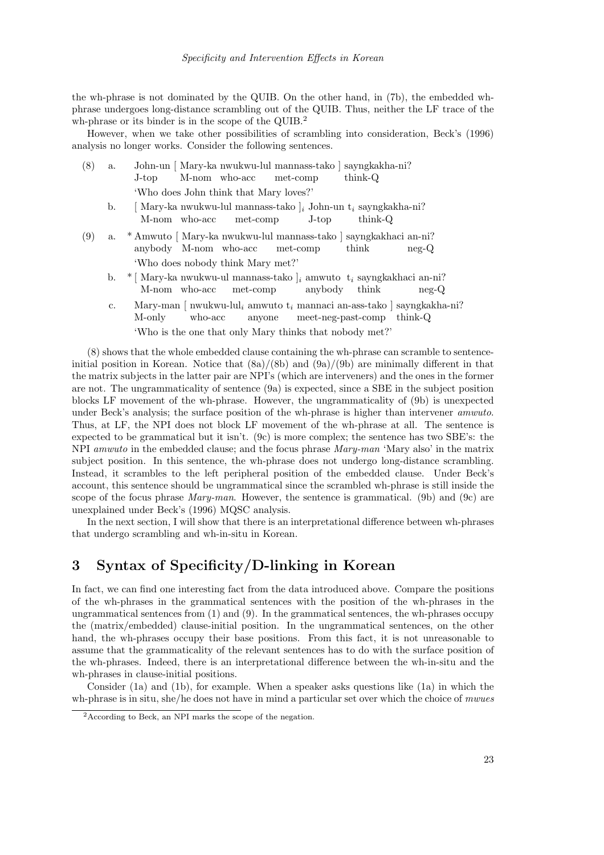the wh-phrase is not dominated by the QUIB. On the other hand, in (7b), the embedded whphrase undergoes long-distance scrambling out of the QUIB. Thus, neither the LF trace of the wh-phrase or its binder is in the scope of the QUIB.<sup>2</sup>

However, when we take other possibilities of scrambling into consideration, Beck's (1996) analysis no longer works. Consider the following sentences.

| (8) | a. | John-un [ Mary-ka nwukwu-lul mannass-tako ] sayngkakha-ni?                                                                         |
|-----|----|------------------------------------------------------------------------------------------------------------------------------------|
|     |    | $\text{think-Q}$<br>M-nom who-acc met-comp<br>J-top                                                                                |
|     |    | 'Who does John think that Mary loves?'                                                                                             |
|     | b. | [ Mary-ka nwukwu-lul mannass-tako $\vert_i$ John-un t <sub>i</sub> sayngkakha-ni?<br>M-nom who-acc met-comp<br>think-O<br>$J$ -top |
| (9) |    | a. * Amwuto   Mary-ka nwukwu-lul mannass-tako   sayngkakhaci an-ni?<br>anybody M-nom who-acc met-comp<br>think<br>$neq$ - $Q$      |
|     |    | 'Who does nobody think Mary met?'                                                                                                  |
|     |    | $\mu$ $\ast$ [Mourtin multiple of monographs ] commute to complete the inter-                                                      |

- b. \* [Mary-ka nwukwu-ul mannass-tako ]<sub>i</sub> amwuto t<sub>i</sub> sayngkakhaci an-ni? M-nom who-acc met-comp anybody think neg-Q
- c. Mary-man [ nwukwu-lul<sub>i</sub> amwuto  $t_i$  mannaci an-ass-tako ] sayngkakha-ni? M-only who-acc anyone meet-neg-past-comp think-Q 'Who is the one that only Mary thinks that nobody met?'

(8) shows that the whole embedded clause containing the wh-phrase can scramble to sentenceinitial position in Korean. Notice that  $(8a)/(8b)$  and  $(9a)/(9b)$  are minimally different in that the matrix subjects in the latter pair are NPI's (which are interveners) and the ones in the former are not. The ungrammaticality of sentence (9a) is expected, since a SBE in the subject position blocks LF movement of the wh-phrase. However, the ungrammaticality of (9b) is unexpected under Beck's analysis; the surface position of the wh-phrase is higher than intervener amwuto. Thus, at LF, the NPI does not block LF movement of the wh-phrase at all. The sentence is expected to be grammatical but it isn't. (9c) is more complex; the sentence has two SBE's: the NPI amwuto in the embedded clause; and the focus phrase Mary-man 'Mary also' in the matrix subject position. In this sentence, the wh-phrase does not undergo long-distance scrambling. Instead, it scrambles to the left peripheral position of the embedded clause. Under Beck's account, this sentence should be ungrammatical since the scrambled wh-phrase is still inside the scope of the focus phrase *Mary-man*. However, the sentence is grammatical. (9b) and (9c) are unexplained under Beck's (1996) MQSC analysis.

In the next section, I will show that there is an interpretational difference between wh-phrases that undergo scrambling and wh-in-situ in Korean.

## 3 Syntax of Specificity/D-linking in Korean

In fact, we can find one interesting fact from the data introduced above. Compare the positions of the wh-phrases in the grammatical sentences with the position of the wh-phrases in the ungrammatical sentences from (1) and (9). In the grammatical sentences, the wh-phrases occupy the (matrix/embedded) clause-initial position. In the ungrammatical sentences, on the other hand, the wh-phrases occupy their base positions. From this fact, it is not unreasonable to assume that the grammaticality of the relevant sentences has to do with the surface position of the wh-phrases. Indeed, there is an interpretational difference between the wh-in-situ and the wh-phrases in clause-initial positions.

Consider (1a) and (1b), for example. When a speaker asks questions like (1a) in which the wh-phrase is in situ, she/he does not have in mind a particular set over which the choice of mwues

<sup>&</sup>lt;sup>2</sup> According to Beck, an NPI marks the scope of the negation.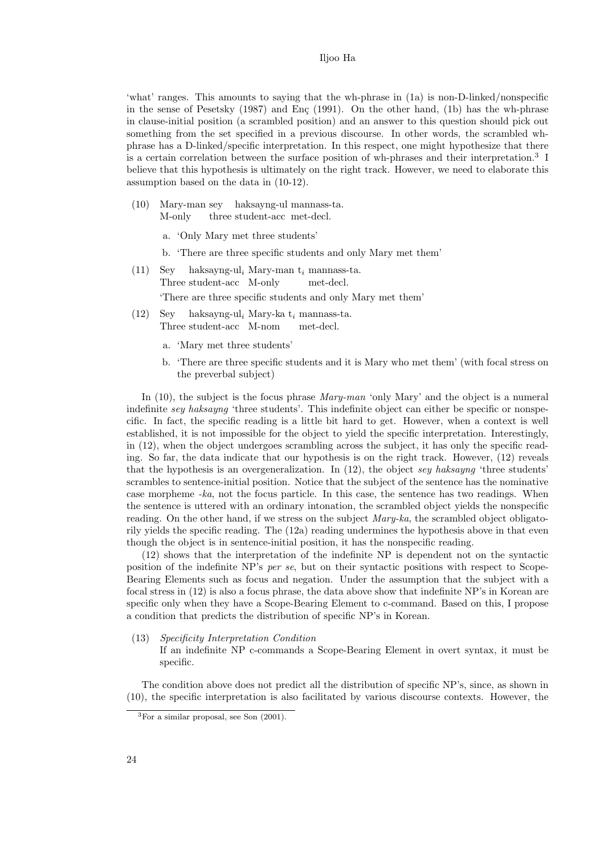'what' ranges. This amounts to saying that the wh-phrase in (1a) is non-D-linked/nonspecific in the sense of Pesetsky  $(1987)$  and En $\varsigma$  (1991). On the other hand, (1b) has the wh-phrase in clause-initial position (a scrambled position) and an answer to this question should pick out something from the set specified in a previous discourse. In other words, the scrambled whphrase has a D-linked/specific interpretation. In this respect, one might hypothesize that there is a certain correlation between the surface position of wh-phrases and their interpretation.<sup>3</sup> I believe that this hypothesis is ultimately on the right track. However, we need to elaborate this assumption based on the data in (10-12).

- (10) Mary-man sey haksayng-ul mannass-ta. M-only three student-acc met-decl.
	- a. 'Only Mary met three students'
	- b. 'There are three specific students and only Mary met them'
- (11) Sey Three student-acc M-only haksayng-ul<sub>i</sub> Mary-man  $t_i$  mannass-ta. met-decl. 'There are three specific students and only Mary met them'
- (12) Sey Three student-acc M-nom haksayng-ul $i$ Mary-ka $\mathbf{t}_i$ mannass-ta. met-decl.
	- a. 'Mary met three students'
	- b. 'There are three specific students and it is Mary who met them' (with focal stress on the preverbal subject)

In (10), the subject is the focus phrase *Mary-man* 'only Mary' and the object is a numeral indefinite sey haksayng 'three students'. This indefinite object can either be specific or nonspecific. In fact, the specific reading is a little bit hard to get. However, when a context is well established, it is not impossible for the object to yield the specific interpretation. Interestingly, in (12), when the object undergoes scrambling across the subject, it has only the specific reading. So far, the data indicate that our hypothesis is on the right track. However, (12) reveals that the hypothesis is an overgeneralization. In  $(12)$ , the object sey haksayng 'three students' scrambles to sentence-initial position. Notice that the subject of the sentence has the nominative case morpheme -ka, not the focus particle. In this case, the sentence has two readings. When the sentence is uttered with an ordinary intonation, the scrambled object yields the nonspecific reading. On the other hand, if we stress on the subject  $Mary-ka$ , the scrambled object obligatorily yields the specific reading. The (12a) reading undermines the hypothesis above in that even though the object is in sentence-initial position, it has the nonspecific reading.

(12) shows that the interpretation of the indefinite NP is dependent not on the syntactic position of the indefinite NP's *per se*, but on their syntactic positions with respect to Scope-Bearing Elements such as focus and negation. Under the assumption that the subject with a focal stress in (12) is also a focus phrase, the data above show that indefinite NP's in Korean are specific only when they have a Scope-Bearing Element to c-command. Based on this, I propose a condition that predicts the distribution of specific NP's in Korean.

(13) Specificity Interpretation Condition

If an indefinite NP c-commands a Scope-Bearing Element in overt syntax, it must be specific.

The condition above does not predict all the distribution of specific NP's, since, as shown in (10), the specific interpretation is also facilitated by various discourse contexts. However, the

<sup>3</sup>For a similar proposal, see Son (2001).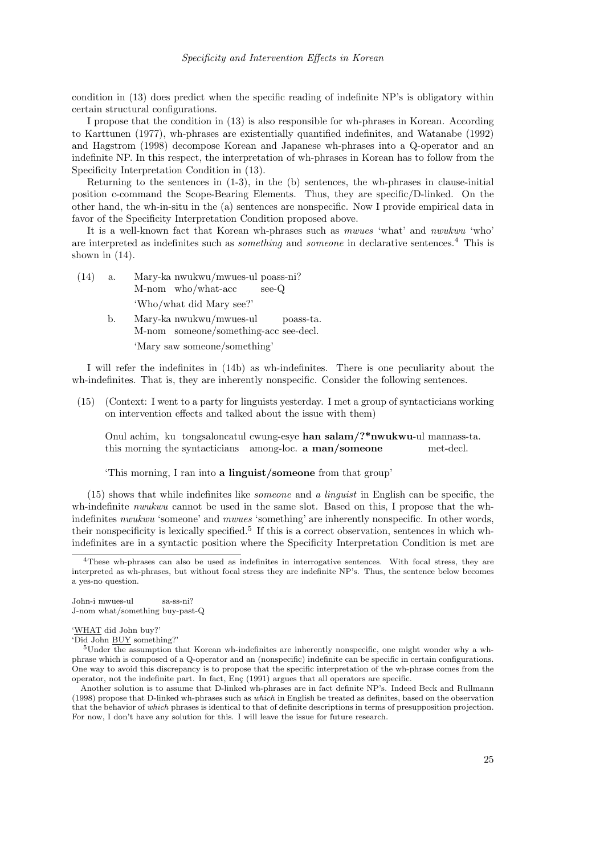condition in (13) does predict when the specific reading of indefinite NP's is obligatory within certain structural configurations.

I propose that the condition in (13) is also responsible for wh-phrases in Korean. According to Karttunen (1977), wh-phrases are existentially quantified indefinites, and Watanabe (1992) and Hagstrom (1998) decompose Korean and Japanese wh-phrases into a Q-operator and an indefinite NP. In this respect, the interpretation of wh-phrases in Korean has to follow from the Specificity Interpretation Condition in (13).

Returning to the sentences in (1-3), in the (b) sentences, the wh-phrases in clause-initial position c-command the Scope-Bearing Elements. Thus, they are specific/D-linked. On the other hand, the wh-in-situ in the (a) sentences are nonspecific. Now I provide empirical data in favor of the Specificity Interpretation Condition proposed above.

It is a well-known fact that Korean wh-phrases such as mwues 'what' and nwukwu 'who' are interpreted as indefinites such as *something* and *someone* in declarative sentences.<sup>4</sup> This is shown in  $(14)$ .

- $(14)$  a. M-nom who/what-acc nwukwu/mwues-ul poass-ni? see-Q 'Who/what did Mary see?'
	- b. Mary-ka nwukwu/mwues-ul M-nom someone/something-acc see-decl. poass-ta. 'Mary saw someone/something'

I will refer the indefinites in (14b) as wh-indefinites. There is one peculiarity about the wh-indefinites. That is, they are inherently nonspecific. Consider the following sentences.

(15) (Context: I went to a party for linguists yesterday. I met a group of syntacticians working on intervention effects and talked about the issue with them)

Onul achim, ku tongsaloncatul cwung-esye han salam/?\*nwukwu-ul mannass-ta. this morning the syntacticians among-loc. **a man/someone** met-decl.

#### 'This morning, I ran into a linguist/someone from that group'

(15) shows that while indefinites like someone and a linguist in English can be specific, the wh-indefinite *nwukwu* cannot be used in the same slot. Based on this, I propose that the whindefinites *nwukwu* 'someone' and *mwues* 'something' are inherently nonspecific. In other words, their nonspecificity is lexically specified.<sup>5</sup> If this is a correct observation, sentences in which whindefinites are in a syntactic position where the Specificity Interpretation Condition is met are

John-i mwues-ul J-nom what/something buy-past-Q sa-ss-ni?

<sup>4</sup>These wh-phrases can also be used as indefinites in interrogative sentences. With focal stress, they are interpreted as wh-phrases, but without focal stress they are indefinite NP's. Thus, the sentence below becomes a yes-no question.

<sup>&#</sup>x27;WHAT did John buy?'

<sup>&#</sup>x27;Did John BUY something?'

<sup>5</sup>Under the assumption that Korean wh-indefinites are inherently nonspecific, one might wonder why a whphrase which is composed of a Q-operator and an (nonspecific) indefinite can be specific in certain configurations. One way to avoid this discrepancy is to propose that the specific interpretation of the wh-phrase comes from the operator, not the indefinite part. In fact, Enc  $(1991)$  argues that all operators are specific.

Another solution is to assume that D-linked wh-phrases are in fact definite NP's. Indeed Beck and Rullmann (1998) propose that D-linked wh-phrases such as which in English be treated as definites, based on the observation that the behavior of which phrases is identical to that of definite descriptions in terms of presupposition projection. For now, I don't have any solution for this. I will leave the issue for future research.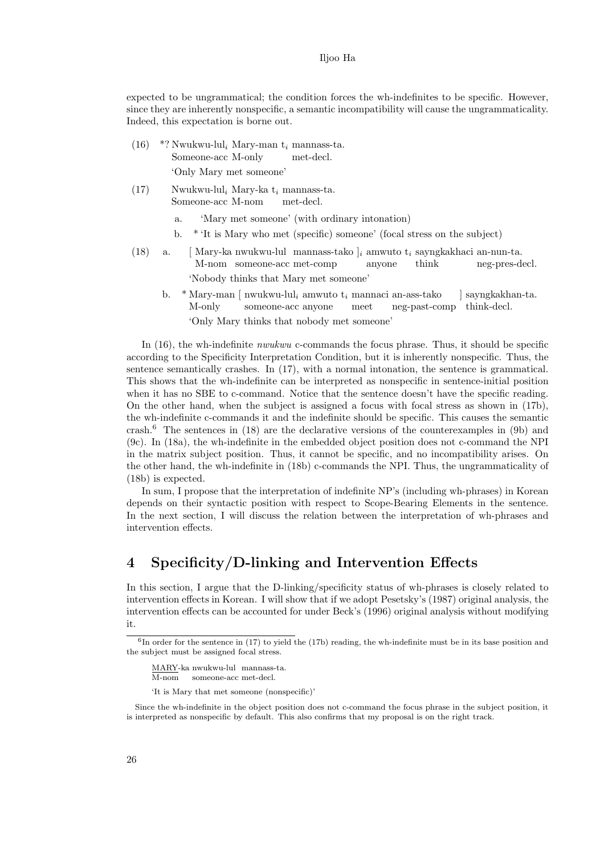expected to be ungrammatical; the condition forces the wh-indefinites to be specific. However, since they are inherently nonspecific, a semantic incompatibility will cause the ungrammaticality. Indeed, this expectation is borne out.

- $(16)$  \*? Nwukwu-lul<sub>i</sub> Mary-man  $t_i$  mannass-ta. Someone-acc M-only met-decl. 'Only Mary met someone'
- $(17)$  Nwukwu-lul<sub>i</sub> Mary-ka t<sub>i</sub> mannass-ta. Someone-acc M-nom met-decl.
	- a. 'Mary met someone' (with ordinary intonation)
	- b. \* 'It is Mary who met (specific) someone' (focal stress on the subject)
- (18) a. [Mary-ka nwukwu-lul mannass-tako  $\vert_i$  amwuto  $t_i$  sayngkakhaci an-nun-ta. M-nom someone-acc met-comp anyone think neg-pres-decl. 'Nobody thinks that Mary met someone'
	- b. \* Mary-man [ nwukwu-lul<sub>i</sub> amwuto  $t_i$  mannaci an-ass-tako M-only someone-acc anyone meet neg-past-comp think-decl. ] sayngkakhan-ta. 'Only Mary thinks that nobody met someone'

In (16), the wh-indefinite *nwukwu* c-commands the focus phrase. Thus, it should be specific according to the Specificity Interpretation Condition, but it is inherently nonspecific. Thus, the sentence semantically crashes. In (17), with a normal intonation, the sentence is grammatical. This shows that the wh-indefinite can be interpreted as nonspecific in sentence-initial position when it has no SBE to c-command. Notice that the sentence doesn't have the specific reading. On the other hand, when the subject is assigned a focus with focal stress as shown in (17b), the wh-indefinite c-commands it and the indefinite should be specific. This causes the semantic crash.<sup>6</sup> The sentences in (18) are the declarative versions of the counterexamples in (9b) and (9c). In (18a), the wh-indefinite in the embedded object position does not c-command the NPI in the matrix subject position. Thus, it cannot be specific, and no incompatibility arises. On the other hand, the wh-indefinite in (18b) c-commands the NPI. Thus, the ungrammaticality of (18b) is expected.

In sum, I propose that the interpretation of indefinite NP's (including wh-phrases) in Korean depends on their syntactic position with respect to Scope-Bearing Elements in the sentence. In the next section, I will discuss the relation between the interpretation of wh-phrases and intervention effects.

# 4 Specificity/D-linking and Intervention Effects

In this section, I argue that the D-linking/specificity status of wh-phrases is closely related to intervention effects in Korean. I will show that if we adopt Pesetsky's (1987) original analysis, the intervention effects can be accounted for under Beck's (1996) original analysis without modifying it.

'It is Mary that met someone (nonspecific)'

 ${}^{6}$ In order for the sentence in (17) to yield the (17b) reading, the wh-indefinite must be in its base position and the subject must be assigned focal stress.

MARY-ka nwukwu-lul mannass-ta.

M-nom someone-acc met-decl.

Since the wh-indefinite in the object position does not c-command the focus phrase in the subject position, it is interpreted as nonspecific by default. This also confirms that my proposal is on the right track.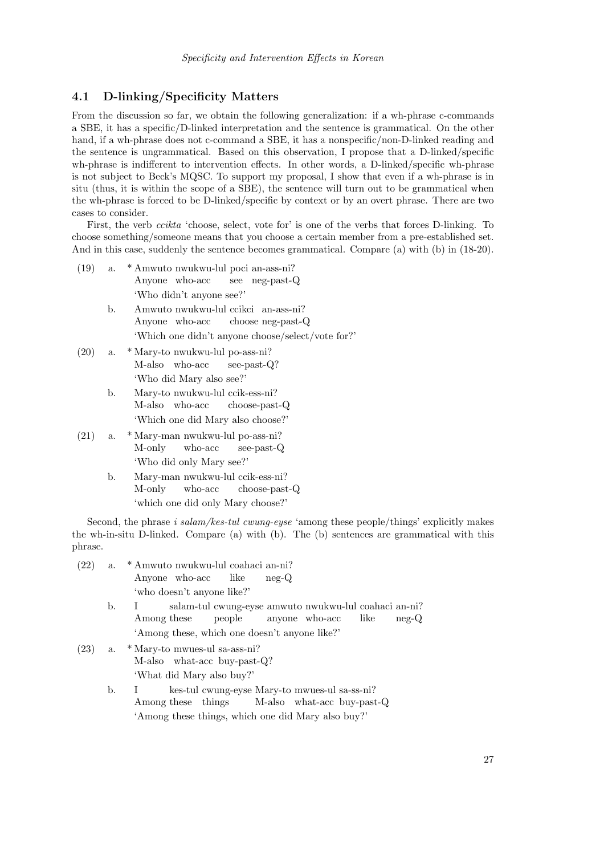### 4.1 D-linking/Specificity Matters

From the discussion so far, we obtain the following generalization: if a wh-phrase c-commands a SBE, it has a specific/D-linked interpretation and the sentence is grammatical. On the other hand, if a wh-phrase does not c-command a SBE, it has a nonspecific/non-D-linked reading and the sentence is ungrammatical. Based on this observation, I propose that a D-linked/specific wh-phrase is indifferent to intervention effects. In other words, a D-linked/specific wh-phrase is not subject to Beck's MQSC. To support my proposal, I show that even if a wh-phrase is in situ (thus, it is within the scope of a SBE), the sentence will turn out to be grammatical when the wh-phrase is forced to be D-linked/specific by context or by an overt phrase. There are two cases to consider.

First, the verb ccikta 'choose, select, vote for' is one of the verbs that forces D-linking. To choose something/someone means that you choose a certain member from a pre-established set. And in this case, suddenly the sentence becomes grammatical. Compare (a) with (b) in (18-20).

- (19) a. \* Amwuto nwukwu-lul poci an-ass-ni? Anyone who-acc see neg-past-Q 'Who didn't anyone see?'
	- b. Amwuto nwukwu-lul ccikci an-ass-ni? Anyone who-acc choose neg-past-Q 'Which one didn't anyone choose/select/vote for?'
- (20) a. \* Mary-to nwukwu-lul po-ass-ni? M-also who-acc see-past-Q? 'Who did Mary also see?'
	- b. Mary-to nwukwu-lul ccik-ess-ni? M-also who-acc choose-past-Q 'Which one did Mary also choose?'
- (21) a. \* Mary-man nwukwu-lul po-ass-ni? M-only who-acc see-past-Q 'Who did only Mary see?'
	- b. Mary-man nwukwu-lul ccik-ess-ni? M-only who-acc choose-past-Q 'which one did only Mary choose?'

Second, the phrase *i salam/kes-tul cwung-eyse* 'among these people/things' explicitly makes the wh-in-situ D-linked. Compare (a) with (b). The (b) sentences are grammatical with this phrase.

- (22) a. \* Amwuto nwukwu-lul coahaci an-ni? Anyone who-acc like neg-Q 'who doesn't anyone like?'
	- b. I Among these salam-tul cwung-eyse amwuto nwukwu-lul coahaci an-ni? people anyone who-acc like neg-Q 'Among these, which one doesn't anyone like?'
- (23) a. \* Mary-to mwues-ul sa-ass-ni? M-also what-acc buy-past-Q? 'What did Mary also buy?'
	- b. I Among these things kes-tul cwung-eyse Mary-to mwues-ul sa-ss-ni? M-also what-acc buy-past-Q 'Among these things, which one did Mary also buy?'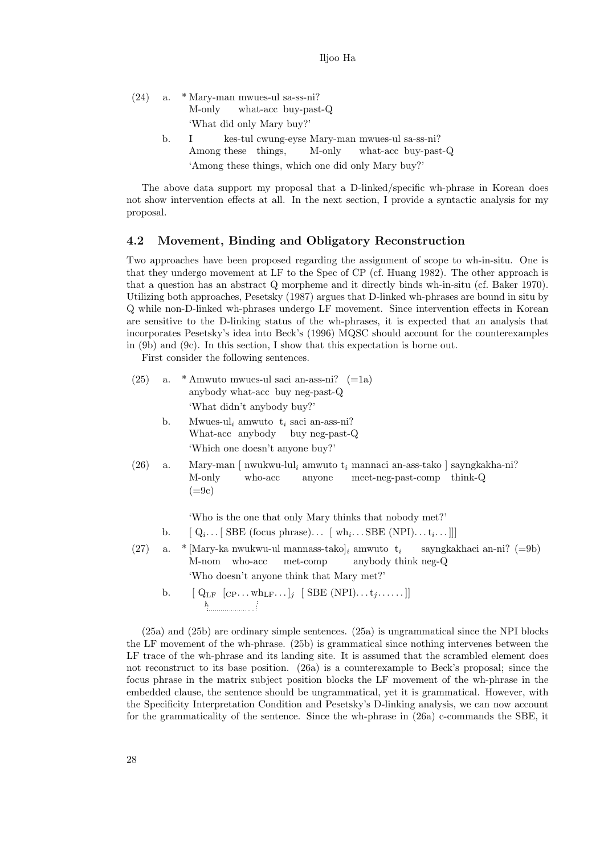- (24) a. \* Mary-man mwues-ul sa-ss-ni? M-only what-acc buy-past-Q 'What did only Mary buy?'
	- b. I Among these things, kes-tul cwung-eyse Mary-man mwues-ul sa-ss-ni? M-only what-acc buy-past-Q 'Among these things, which one did only Mary buy?'

The above data support my proposal that a D-linked/specific wh-phrase in Korean does not show intervention effects at all. In the next section, I provide a syntactic analysis for my proposal.

### 4.2 Movement, Binding and Obligatory Reconstruction

Two approaches have been proposed regarding the assignment of scope to wh-in-situ. One is that they undergo movement at LF to the Spec of CP (cf. Huang 1982). The other approach is that a question has an abstract Q morpheme and it directly binds wh-in-situ (cf. Baker 1970). Utilizing both approaches, Pesetsky (1987) argues that D-linked wh-phrases are bound in situ by Q while non-D-linked wh-phrases undergo LF movement. Since intervention effects in Korean are sensitive to the D-linking status of the wh-phrases, it is expected that an analysis that incorporates Pesetsky's idea into Beck's (1996) MQSC should account for the counterexamples in (9b) and (9c). In this section, I show that this expectation is borne out.

First consider the following sentences.

| (25) | а. | * Amwuto mwues-ul saci an-ass-ni? $(=1a)$<br>anybody what-acc buy neg-past-Q<br>'What didn't anybody buy?'                                                            |
|------|----|-----------------------------------------------------------------------------------------------------------------------------------------------------------------------|
|      | b. | Mwues-ul, amwuto $t_i$ saci an-ass-ni?<br>What-acc anybody buy neg-past-Q<br>'Which one doesn't anyone buy?'                                                          |
| (26) | a. | Mary-man   nwukwu-lul <sub>i</sub> amwuto t <sub>i</sub> mannaci an-ass-tako   sayngkakha-ni?<br>M-only<br>who-acc<br>anyone meet-neg-past-comp<br>think-Q<br>$(=9c)$ |
|      |    | 'Who is the one that only Mary thinks that nobody met?'                                                                                                               |
|      | b. | $[Q_i \dots]$ SBE (focus phrase) $[wh_i \dots SBE(NPI) \dots t_i \dots]]$                                                                                             |
| (27) | a. | * Mary-ka nwukwu-ul mannass-tako $_i$ amwuto $t_i$ sayngkakhaci an-ni? (=9b)<br>met-comp anybody think neg-Q<br>who-acc<br>M-nom                                      |
|      |    | 'Who doesn't anyone think that Mary met?'                                                                                                                             |

b.  $[Q_{LF} [C_{P} \dots w h_{LF} \dots]_j]$ RR  $[$  SBE  $(NPI) \ldots t_j \ldots]$ ]

(25a) and (25b) are ordinary simple sentences. (25a) is ungrammatical since the NPI blocks the LF movement of the wh-phrase. (25b) is grammatical since nothing intervenes between the LF trace of the wh-phrase and its landing site. It is assumed that the scrambled element does not reconstruct to its base position. (26a) is a counterexample to Beck's proposal; since the focus phrase in the matrix subject position blocks the LF movement of the wh-phrase in the embedded clause, the sentence should be ungrammatical, yet it is grammatical. However, with the Specificity Interpretation Condition and Pesetsky's D-linking analysis, we can now account for the grammaticality of the sentence. Since the wh-phrase in (26a) c-commands the SBE, it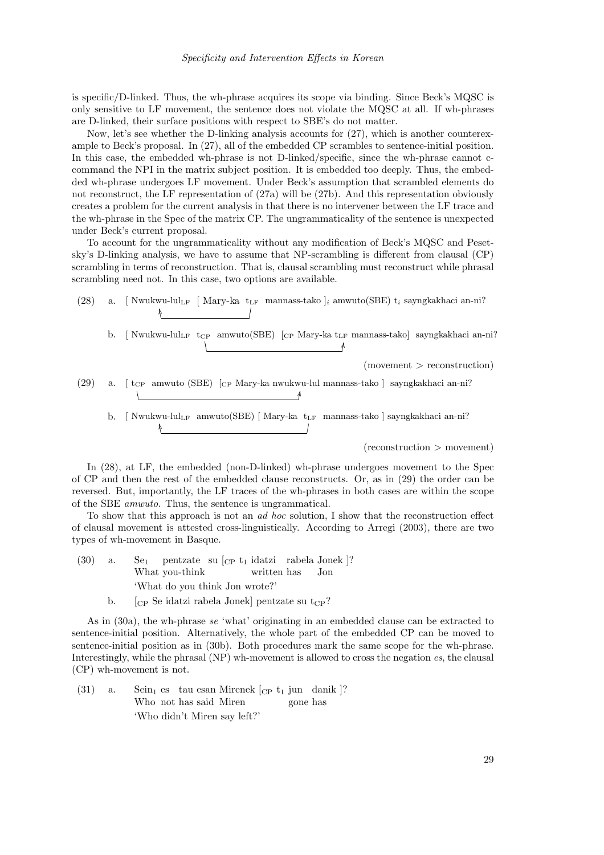is specific/D-linked. Thus, the wh-phrase acquires its scope via binding. Since Beck's MQSC is only sensitive to LF movement, the sentence does not violate the MQSC at all. If wh-phrases are D-linked, their surface positions with respect to SBE's do not matter.

Now, let's see whether the D-linking analysis accounts for (27), which is another counterexample to Beck's proposal. In (27), all of the embedded CP scrambles to sentence-initial position. In this case, the embedded wh-phrase is not D-linked/specific, since the wh-phrase cannot ccommand the NPI in the matrix subject position. It is embedded too deeply. Thus, the embedded wh-phrase undergoes LF movement. Under Beck's assumption that scrambled elements do not reconstruct, the LF representation of (27a) will be (27b). And this representation obviously creates a problem for the current analysis in that there is no intervener between the LF trace and the wh-phrase in the Spec of the matrix CP. The ungrammaticality of the sentence is unexpected under Beck's current proposal.

To account for the ungrammaticality without any modification of Beck's MQSC and Pesetsky's D-linking analysis, we have to assume that NP-scrambling is different from clausal (CP) scrambling in terms of reconstruction. That is, clausal scrambling must reconstruct while phrasal scrambling need not. In this case, two options are available.

- (28) a. [Nwukwu-lul<sub>LF</sub> [Mary-ka  $t_{LF}$  mannass-tako ]<sub>i</sub> amwuto(SBE)  $t_i$  sayngkakhaci an-ni?  $\overline{a}$  $\overline{a}$  $\overline{a}$ RR% %
	- b. [ Nwukwu-lul<sub>LF</sub> t<sub>CP</sub> amwuto(SBE) [<sub>CP</sub> Mary-ka t<sub>LF</sub> mannass-tako] sayngkakhaci an-ni? % % ¼ ¼

 $(momentum > reconstruction)$ 

- (29) a. [ tCP amwuto (SBE) [CP Mary-ka nwukwu-lul mannass-tako ] sayngkakhaci an-ni? %  $\lambda$ ¼ ¼
	- b. [Nwukwu-lul<sub>LF</sub> amwuto(SBE) [Mary-ka t<sub>LF</sub> mannass-tako] sayngkakhaci an-ni?  $\overline{a}$  $\overline{a}$ RR% %

(reconstruction > movement)

In (28), at LF, the embedded (non-D-linked) wh-phrase undergoes movement to the Spec of CP and then the rest of the embedded clause reconstructs. Or, as in (29) the order can be reversed. But, importantly, the LF traces of the wh-phrases in both cases are within the scope of the SBE amwuto. Thus, the sentence is ungrammatical.

To show that this approach is not an ad hoc solution, I show that the reconstruction effect of clausal movement is attested cross-linguistically. According to Arregi (2003), there are two types of wh-movement in Basque.

- $(30)$  a. What you-think pentzate su [CP t<sup>1</sup> idatzi rabela Jonek ]? written has Jon 'What do you think Jon wrote?'
	- b.  $\left[\right]_{CP}$  Se idatzi rabela Jonek] pentzate su t<sub>CP</sub>?

As in (30a), the wh-phrase se 'what' originating in an embedded clause can be extracted to sentence-initial position. Alternatively, the whole part of the embedded CP can be moved to sentence-initial position as in (30b). Both procedures mark the same scope for the wh-phrase. Interestingly, while the phrasal (NP) wh-movement is allowed to cross the negation  $es$ , the clausal (CP) wh-movement is not.

 $(31)$  a. Who not has said Miren es tau esan Mirenek [CP t<sup>1</sup> jun danik ]? gone has 'Who didn't Miren say left?'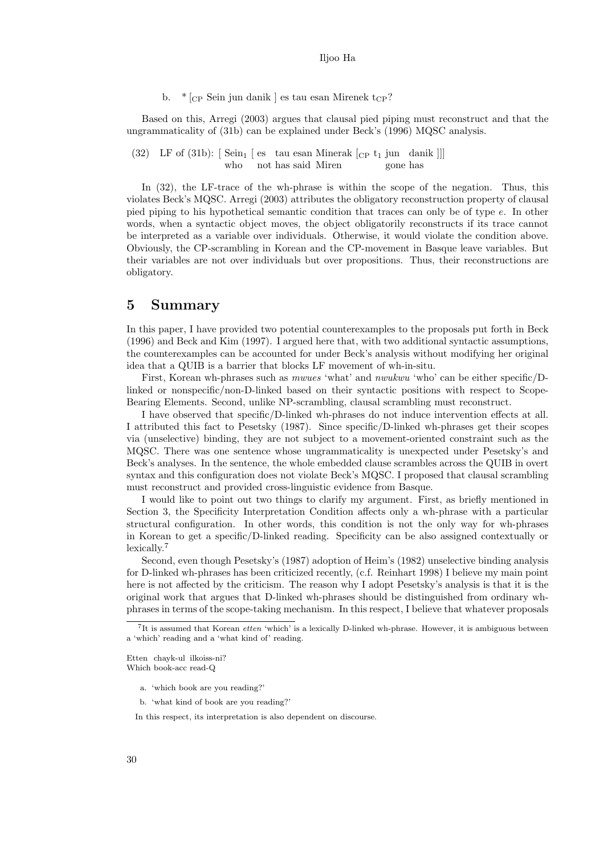b.  $*$   $\vert_{CP}$  Sein jun danik  $\vert$  es tau esan Mirenek t<sub>CP</sub>?

Based on this, Arregi (2003) argues that clausal pied piping must reconstruct and that the ungrammaticality of (31b) can be explained under Beck's (1996) MQSC analysis.

(32) LF of (31b):  $\left[ \text{ Sein}_1 \right]$  es tau esan Minerak  $\left[ \text{CP } t_1 \text{ jun } \text{danik } \right]$ who not has said Miren gone has

In (32), the LF-trace of the wh-phrase is within the scope of the negation. Thus, this violates Beck's MQSC. Arregi (2003) attributes the obligatory reconstruction property of clausal pied piping to his hypothetical semantic condition that traces can only be of type e. In other words, when a syntactic object moves, the object obligatorily reconstructs if its trace cannot be interpreted as a variable over individuals. Otherwise, it would violate the condition above. Obviously, the CP-scrambling in Korean and the CP-movement in Basque leave variables. But their variables are not over individuals but over propositions. Thus, their reconstructions are obligatory.

### 5 Summary

In this paper, I have provided two potential counterexamples to the proposals put forth in Beck (1996) and Beck and Kim (1997). I argued here that, with two additional syntactic assumptions, the counterexamples can be accounted for under Beck's analysis without modifying her original idea that a QUIB is a barrier that blocks LF movement of wh-in-situ.

First, Korean wh-phrases such as mwues 'what' and nwukwu 'who' can be either specific/Dlinked or nonspecific/non-D-linked based on their syntactic positions with respect to Scope-Bearing Elements. Second, unlike NP-scrambling, clausal scrambling must reconstruct.

I have observed that specific/D-linked wh-phrases do not induce intervention effects at all. I attributed this fact to Pesetsky (1987). Since specific/D-linked wh-phrases get their scopes via (unselective) binding, they are not subject to a movement-oriented constraint such as the MQSC. There was one sentence whose ungrammaticality is unexpected under Pesetsky's and Beck's analyses. In the sentence, the whole embedded clause scrambles across the QUIB in overt syntax and this configuration does not violate Beck's MQSC. I proposed that clausal scrambling must reconstruct and provided cross-linguistic evidence from Basque.

I would like to point out two things to clarify my argument. First, as briefly mentioned in Section 3, the Specificity Interpretation Condition affects only a wh-phrase with a particular structural configuration. In other words, this condition is not the only way for wh-phrases in Korean to get a specific/D-linked reading. Specificity can be also assigned contextually or lexically.<sup>7</sup>

Second, even though Pesetsky's (1987) adoption of Heim's (1982) unselective binding analysis for D-linked wh-phrases has been criticized recently, (c.f. Reinhart 1998) I believe my main point here is not affected by the criticism. The reason why I adopt Pesetsky's analysis is that it is the original work that argues that D-linked wh-phrases should be distinguished from ordinary whphrases in terms of the scope-taking mechanism. In this respect, I believe that whatever proposals

Etten chayk-ul ilkoiss-ni? Which book-acc read-Q

- a. 'which book are you reading?'
- b. 'what kind of book are you reading?'

In this respect, its interpretation is also dependent on discourse.

<sup>&</sup>lt;sup>7</sup>It is assumed that Korean *etten* 'which' is a lexically D-linked wh-phrase. However, it is ambiguous between a 'which' reading and a 'what kind of' reading.